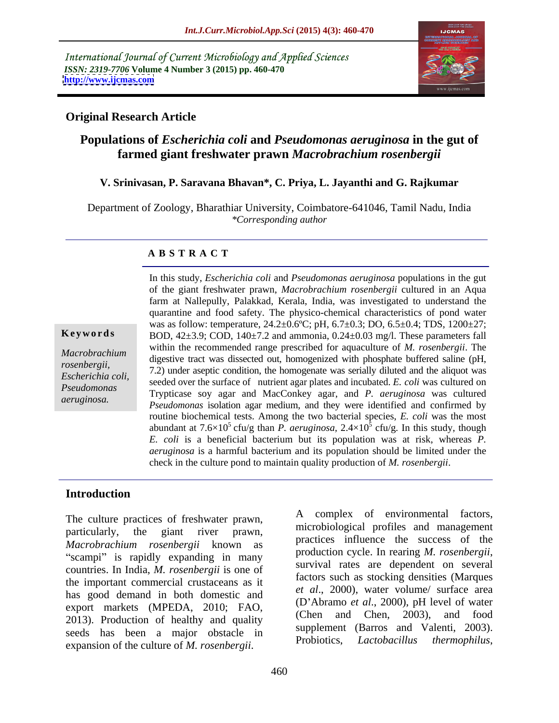International Journal of Current Microbiology and Applied Sciences *ISSN: 2319-7706* **Volume 4 Number 3 (2015) pp. 460-470 <http://www.ijcmas.com>**



## **Original Research Article**

# **Populations of** *Escherichia coli* **and** *Pseudomonas aeruginosa* **in the gut of farmed giant freshwater prawn** *Macrobrachium rosenbergii*

### **V. Srinivasan, P. Saravana Bhavan\*, C. Priya, L. Jayanthi and G. Rajkumar**

Department of Zoology, Bharathiar University, Coimbatore-641046, Tamil Nadu, India *\*Corresponding author*

#### **A B S T R A C T**

*aeruginosa.*

In this study, *Escherichia coli* and *Pseudomonas aeruginosa* populations in the gut of the giant freshwater prawn, *Macrobrachium rosenbergii* cultured in an Aqua farm at Nallepully, Palakkad, Kerala, India, was investigated to understand the quarantine and food safety. The physico-chemical characteristics of pond water was as follow: temperature,  $24.2 \pm 0.6$ °C; pH,  $6.7 \pm 0.3$ ; DO,  $6.5 \pm 0.4$ ; TDS,  $1200 \pm 27$ ; BOD, 42±3.9; COD, 140±7.2 and ammonia, 0.24±0.03 mg/l. These parameters fall within the recommended range prescribed for aquaculture of *M. rosenbergii*. The digestive tract was dissected out, homogenized with phosphate buffered saline (pH, *Macrobrachium rosenbergii, 7.2)* under aseptic condition, the homogenate was serially diluted and the aliquot was <br>*Feal mighting ali*, <sup>7</sup>.2) under aseptic condition, the homogenate was serially diluted and the aliquot was seeded over the surface of nutrient agar plates and incubated. *E. coli* was cultured on *Escherichia coli,*  Trypticase soy agar and MacConkey agar, and *P. aeruginosa* was cultured *Pseudomonas Pseudomonas* isolation agar medium, and they were identified and confirmed by routine biochemical tests. Among the two bacterial species, *E. coli* was the most abundant at  $7.6 \times 10^5$  cfu/g than *P. aeruginosa*,  $2.4 \times 10^5$  cfu/g. In this study, though cfu/g*.* In this study, though *E. coli* is a beneficial bacterium but its population was at risk, whereas *P. aeruginosa* is a harmful bacterium and its population should be limited under the **Keywords**<br> **Keywords**<br> **Check interpretent in the recommended range prescribed for aquaculture of** *M. rosenbergii***. The<br>
digestive tract was dissected out, homogenized with phosphate buffered saline (pH,<br>** *rosenbergii***,** 

### **Introduction**

particularly, the giant river prawn, pulled business and management *Macrobrachium rosenbergii* known as practices influence the success of the measurement of the production cycle. In rearing *M. rosenbergii*, "scampi" is rapidly expanding in many<br>survival rates are dependent on several countries. In India, *M. rosenbergii* is one of the important commercial crustaceans as it has good demand in both domestic and export markets (MPEDA, 2010; FAO,  $(D \text{ A})$  (D Abramo et al., 2000), pH level of water<br>  $(Chen \text{ and } Chen, 2003)$ , and food 2013). Production of healthy and quality seeds has been a major obstacle in supplement (Barros and Valenti, 2003).<br>Probiotics, *Lactobacillus thermophilus*, The culture practices of freshwater prawn,<br>
particularly, the giant river prawn, microbiological profiles and management<br> *Macrobrachium rosenbergii* known as<br>
"scampi" is rapidly expanding in many<br>
countries. In India,

The culture practices of freshwater prawn,<br>  $\overrightarrow{A}$  complex of environmental factors,<br>
microbiological profiles and management practices influence the success of the production cycle. In rearing *M. rosenbergii*, survival rates are dependent on several factors such as stocking densities (Marques *et al*., 2000), water volume/ surface area (D Abramo *et al*., 2000), pH level of water (Chen and Chen, 2003), and food supplement (Barros and Valenti, 2003). Probiotics, *Lactobacillus thermophilus*,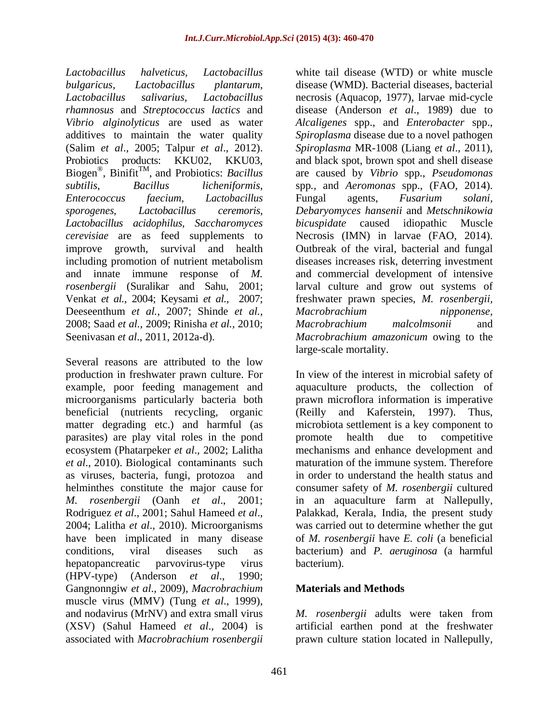*Lactobacillus halveticus, Lactobacillus*  white tail disease (WTD) or white muscle *bulgaricus, Lactobacillus plantarum,* disease (WMD). Bacterial diseases, bacterial *Lactobacillus salivarius, Lactobacillus* necrosis (Aquacop, 1977), larvae mid-cycle *rhamnosus* and *Streptococcus lactics* and disease (Anderson *et al*., 1989) due to *Vibrio alginolyticus* are used as water *Alcaligenes* spp., and *Enterobacter* spp., additives to maintain the water quality *Spiroplasma* disease due to a novel pathogen (Salim *et al.*, 2005; Talpur *et al.*, 2012). Spiroplasma MR-1008 (Liang *et al.*, 2011), Probiotics products: KKU02, KKU03, and black spot, brown spot and shell disease Biogen®, Binifit<sup>™</sup>, and Probiotics: Bacillus *subtilis*, *Bacillus licheniformis*, *Enterococcus faecium, Lactobacillus sporogenes*, *Lactobacillus ceremoris*, *Debaryomyces hansenii* and *Metschnikowia Lactobacillus acidophilus*, *Saccharomyces cerevisiae* are as feed supplements to Necrosis (IMN) in larvae (FAO, 2014). improve growth, survival and health Outbreak of the viral, bacterial and fungal including promotion of nutrient metabolism diseases increases risk, deterring investment and innate immune response of *M.*  and commercial development of intensive *rosenbergii* (Suralikar and Sahu, 2001; larval culture and grow out systems of Venkat *et al.,* 2004; Keysami *et al.,* 2007; freshwater prawn species, *M. rosenbergii,* Deeseenthum *et al.*, 2007; Shinde *et al.,* 2008; Saad *et al.*,2009; Rinisha *et al.,* 2010; Seenivasan *et al*., 2011, 2012a-d). *Macrobrachium amazonicum* owing to the

Several reasons are attributed to the low production in freshwater prawn culture. For In view of the interest in microbial safety of example, poor feeding management and aquaculture products, the collection of microorganisms particularly bacteria both prawn microflora information is imperative beneficial (nutrients recycling, organic (Reilly and Kaferstein, 1997). Thus, matter degrading etc.) and harmful (as microbiota settlement is a key component to parasites) are play vital roles in the pond ecosystem (Phatarpeker *et al*., 2002; Lalitha mechanisms and enhance development and *et al*., 2010). Biological contaminants such maturation of the immune system. Therefore as viruses, bacteria, fungi, protozoa and helminthes constitute the major cause for consumer safety of *M. rosenbergii* cultured *M. rosenbergii* (Oanh *et al*., 2001; in an aquaculture farm at Nallepully, Rodriguez *et al*., 2001; Sahul Hameed *et al*., 2004; Lalitha *et al*., 2010). Microorganisms have been implicated in many disease of *M. rosenbergii* have *E. coli* (a beneficial conditions, viral diseases such as bacterium) and *P. aeruginosa* (a harmful hepatopancreatic parvovirus-type virus (HPV-type) (Anderson *et al*., 1990; Gangnonngiw *et al*., 2009), *Macrobrachium*  muscle virus (MMV) (Tung *et al*., 1999), and nodavirus (MrNV) and extra small virus  $M$ . *rosenbergii* adults were taken from (XSV) (Sahul Hameed *et al*., 2004) is artificial earthen pond at the freshwater

,  $Binitit^{TM}$ , and Probiotics: *Bacillus* are caused by Vibrio spp., *Pseudomonas* , and Probiotics: *Bacillus*  are caused by *Vibrio* spp., *Pseudomonas Spiroplasma* MR-1008 (Liang *et al*., 2011), and black spot, brown spot and shell disease spp*.,* and *Aeromonas* spp., (FAO, 2014). Fungal agents,*Fusarium solani, bicuspidate* caused idiopathic *Macrobrachium nipponense, Macrobrachium malcolmsonii* and large-scale mortality.

> promote health due to competitive in order to understand the health status and Palakkad, Kerala, India, the present study was carried out to determine whether the gut bacterium).

# **Materials and Methods**

associated with *Macrobrachium rosenbergii* prawn culture station located in Nallepully,*M. rosenbergii* adults were taken from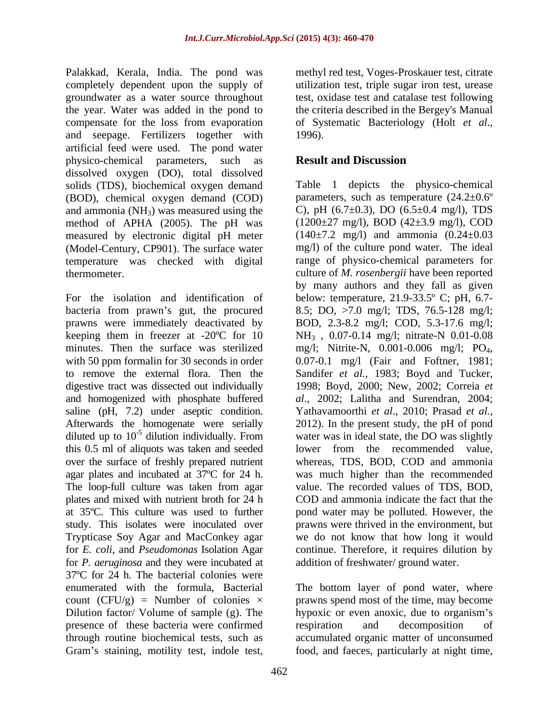Palakkad, Kerala, India. The pond was methyl red test, Voges-Proskauer test, citrate completely dependent upon the supply of utilization test, triple sugar iron test, urease groundwater as a water source throughout test, oxidase test and catalase test following the year. Water was added in the pond to the criteria described in the Bergey's Manual compensate for the loss from evaporation of Systematic Bacteriology (Holt et al., and seepage. Fertilizers together with artificial feed were used. The pond water physico-chemical parameters, such as dissolved oxygen (DO), total dissolved solids (TDS), biochemical oxygen demand (BOD), chemical oxygen demand (COD) and ammonia  $(NH_3)$  was measured using the method of APHA (2005). The pH was measured by electronic digital pH meter (Model-Century, CP901). The surface water temperature was checked with digital

For the isolation and identification of below: temperature, 21.9-33.5º C; pH, 6.7 bacteria from prawn's gut, the procured prawns were immediately deactivated by BOD, 2.3-8.2 mg/l; COD, 5.3-17.6 mg/l; keeping them in freezer at  $-20^{\circ}$ C for 10  $NH_3$ , 0.07-0.14 mg/l; nitrate-N 0.01-0.08 minutes. Then the surface was sterilized mg/l; Nitrite-N, 0.001-0.006 mg/l; PO<sub>4</sub>, with 50 ppm formal in for 30 seconds in order  $0.07-0.1$  mg/l (Fair and Foftner, 1981; to remove the external flora. Then the Sandifer *et al.,* 1983; Boyd and Tucker, digestive tract was dissected out individually 1998; Boyd, 2000; New, 2002; Correia *et*  and homogenized with phosphate buffered *al*., 2002; Lalitha and Surendran, 2004; saline (pH, 7.2) under aseptic condition. Yathavamoorthi *et al*., 2010; Prasad *et al.,* Afterwards the homogenate were serially 2012). In the present study, the pH of pond diluted up to 10<sup>-5</sup> dilution individually. From water was in ideal state, the DO was slightly this 0.5 ml of aliquots was taken and seeded over the surface of freshly prepared nutrient whereas, TDS, BOD, COD and ammonia agar plates and incubated at 37ºC for 24 h. The loop-full culture was taken from agar plates and mixed with nutrient broth for 24 h COD and ammonia indicate the fact that the at 35ºC. This culture was used to further pond water may be polluted. However, the study. This isolates were inoculated over prawns were thrived in the environment, but Trypticase Soy Agar and MacConkey agar we do not know that how long it would for *E. coli*, and *Pseudomonas* Isolation Agar for *P. aeruginosa* and they were incubated at 37ºC for 24 h. The bacterial colonies were enumerated with the formula, Bacterial The bottom layer of pond water, where count  $(CFU/g)$  = Number of colonies  $\times$  prawns spend most of the time, may become Dilution factor/ Volume of sample (g). The hypoxic or even anoxic, due to organism's presence of these bacteria were confirmed respiration and decomposition of through routine biochemical tests, such as accumulated organic matter of unconsumed

of Systematic Bacteriology (Holt *et al*., 1996).

# **Result and Discussion**

thermometer. culture of *M. rosenbergii* have been reported Figure the test in the poster of the conduct of the conduction of the statistic test, indicate test wave in the statistic statistic statistic statistic statistic statistic statistic statistic statistic statistic statistic Table 1 depicts the physico-chemical parameters, such as temperature  $(24.2 \pm 0.6^{\circ})$ C), pH  $(6.7\pm0.3)$ , DO  $(6.5\pm0.4 \text{ mg/l})$ , TDS (1200±27 mg/l), BOD (42±3.9 mg/l), COD  $(140\pm7.2 \text{ mg/l})$  and ammonia  $(0.24\pm0.03 \text{ m})$ mg/l) of the culture pond water. The ideal range of physico-chemical parameters for by many authors and they fall as given 8.5; DO, >7.0 mg/l; TDS, 76.5-128 mg/l; mg/l; Nitrite-N, 0.001-0.006 mg/l; PO<sub>4</sub>,<br>0.07-0.1 mg/l (Fair and Foftner, 1981; lower from the recommended value, was much higher than the recommended value. The recorded values of TDS, BOD, continue. Therefore, it requires dilution by addition of freshwater/ ground water.

respiration and decomposition of food, and faeces, particularly at night time,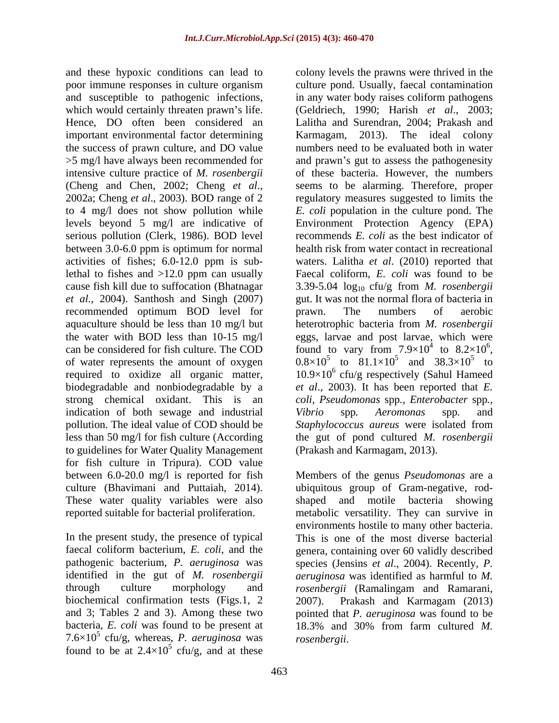and these hypoxic conditions can lead to colony levels the prawns were thrived in the and susceptible to pathogenic infections, important environmental factor determining Karmagam, 2013). The ideal colony levels beyond 5 mg/l are indicative of serious pollution (Clerk, 1986). BOD level between 3.0-6.0 ppm is optimum for normal *et al.*, 2004). Santhosh and Singh (2007) recommended optimum BOD level for prawn. The numbers of aerobic of water represents the amount of oxygen biodegradable and nonbiodegradable by a strong chemical oxidant. This is an *coli*, *Pseudomonas* spp., *Enterobacter* spp., indication of both sewage and industrial Vibrio spp. Aeromonas spp. and to guidelines for Water Quality Management for fish culture in Tripura). COD value between 6.0-20.0 mg/l is reported for fish Members of the genus Pseudomonas are a culture (Bhavimani and Puttaiah, 2014). These water quality variables were also

In the present study, the presence of typical faecal coliform bacterium, *E. coli*, and the biochemical confirmation tests (Figs.1, 2 2007). Prakash and Karmagam (2013) and 3; Tables 2 and 3). Among these two found to be at  $2.4 \times 10^5$  cfu/g, and at these  $ctu/g$ , and at these

poor immune responses in culture organism culture pond. Usually, faecal contamination which would certainly threaten prawn's life. (Geldriech, 1990; Harish *et al.*, 2003; Hence, DO often been considered an Lalitha and Surendran, 2004; Prakash and the success of prawn culture, and DO value numbers need to be evaluated both in water >5 mg/l have always been recommended for and prawn's gut to assess the pathogenesity intensive culture practice of *M. rosenbergii* of these bacteria. However, the numbers (Cheng and Chen, 2002; Cheng *et al.*, seems to be alarming. Therefore, proper 2002a; Cheng *et al.*, 2003). BOD range of 2 regulatory measures suggested to limits the to 4 mg/l does not show pollution while *E. coli* population in the culture pond. The activities of fishes; 6.0-12.0 ppm is sub-waters. Lalitha *et al*. (2010) reported that lethal to fishes and >12.0 ppm can usually Faecal coliform, *E. coli* was found to be cause fish kill due to suffocation (Bhatnagar  $\qquad 3.39-5.04 \log_{10} \text{ctu/g from } M.$  *rosenbergii* aquaculture should be less than 10 mg/l but heterotrophic bacteria from *M. rosenbergii* the water with BOD less than 10-15 mg/l eggs, larvae and post larvae, which were can be considered for fish culture. The COD found to vary from  $7.9 \times 10^4$  to  $8.2 \times 10^6$ , required to oxidize all organic matter,  $10.9 \times 10^6$  cfu/g respectively (Sahul Hameed pollution. The ideal value of COD should be *Staphylococcus aureus* were isolated from less than 50 mg/l for fish culture (According the gut of pond cultured *M. rosenbergii* in any water body raises coliform pathogens Karmagam, 2013). The ideal colony seems to be alarming. Therefore, proper regulatory measures suggested to limits the Environment Protection Agency (EPA) recommends *E. coli* as the best indicator of health risk from water contact in recreational gut. It was not the normal flora of bacteria in prawn. The numbers of aerobic to  $8.2 \times 10^6$ , found to vary from  $7.9 \times 10^4$  to  $8.2 \times 10^6$ ,<br>0.8×10<sup>5</sup> to  $81.1 \times 10^5$  and  $38.3 \times 10^5$  to and  $38.3\times10^5$  to to *et al*., 2003). It has been reported that *E. coli, Pseudomonas* spp*., Enterobacter* spp*., Vibrio* spp*. Aeromonas* spp*.* and

reported suitable for bacterial proliferation. metabolic versatility. They can survive in pathogenic bacterium, *P. aeruginosa* was species (Jensins *et al*., 2004). Recently, *P.* identified in the gut of *M. rosenbergii aeruginosa* was identified as harmful to *M.*  through culture morphology and *rosenbergii* (Ramalingam and Ramarani, bacteria, *E. coli* was found to be present at 18.3% and 30% from farm cultured *M.*   $7.6 \times 10^5$  cfu/g, whereas, *P. aeruginosa* was *rosenbergii.* (Prakash and Karmagam, 2013). Members of the genus *Pseudomonas* are <sup>a</sup> ubiquitous group of Gram-negative, rod shaped and motile bacteria showing environments hostile to many other bacteria. This is one of the most diverse bacterial genera, containing over 60 validly described 2007). Prakash and Karmagam (2013) pointed that *P. aeruginosa* was found to be *rosenbergii*.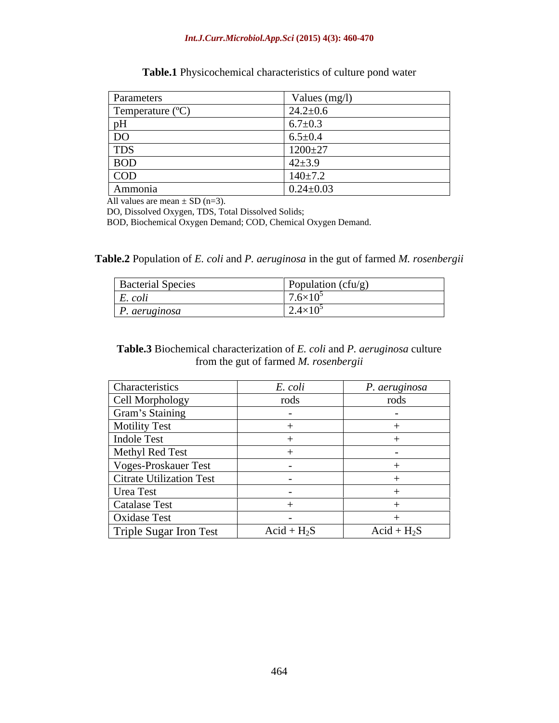#### *Int.J.Curr.Microbiol.App.Sci* **(2015) 4(3): 460-470**

| Parameters     | Values $(mg/l)$                     |
|----------------|-------------------------------------|
| Temperature (° | $24.2 \pm 0.6$                      |
| ,,,            | $6.7 \pm 0.3$                       |
| D <sub>O</sub> | $6.5 \pm 0.4$                       |
| <b>TDS</b>     | 1000.27<br>$111 +$<br>$1200 \pm 27$ |
| <b>BOD</b>     | $42 + 3.9$                          |
| COD            | $140 \pm 7.2$                       |
| Ammonia        | $0.24 \pm 0.03$                     |

**Table.1** Physicochemical characteristics of culture pond water

All values are mean  $\pm$  SD (n=3).

DO, Dissolved Oxygen, TDS, Total Dissolved Solids;

BOD, Biochemical Oxygen Demand; COD, Chemical Oxygen Demand.

**Table.2** Population of *E. coli* and *P. aeruginosa* in the gut of farmed *M. rosenbergii*

| <b>Bacterial Species</b> | Population (cfu/g)             |
|--------------------------|--------------------------------|
| $\overline{a}$<br>L. COU | $ -$<br>$1.6\times10^5$        |
| . aeruginosa             | $\langle 10^5$<br><u>. н. </u> |

**Table.3** Biochemical characterization of *E. coli* and *P. aeruginosa* culture from the gut of farmed *M. rosenbergii*

| Characteristics          | E. coli       | P. aeruginosa |
|--------------------------|---------------|---------------|
| Cell Morphology          | rods          | rods          |
| Gram's Staining          |               |               |
| Motility Test            |               |               |
| <b>Indole Test</b>       |               |               |
| Methyl Red Test          |               |               |
| Voges-Proskauer Test     |               |               |
| Citrate Utilization Test |               |               |
| Urea Test                |               |               |
| Catalase Test            |               |               |
| <b>Oxidase Test</b>      |               |               |
| Triple Sugar Iron Test   | $Acid + H_2S$ | $Acid + H_2S$ |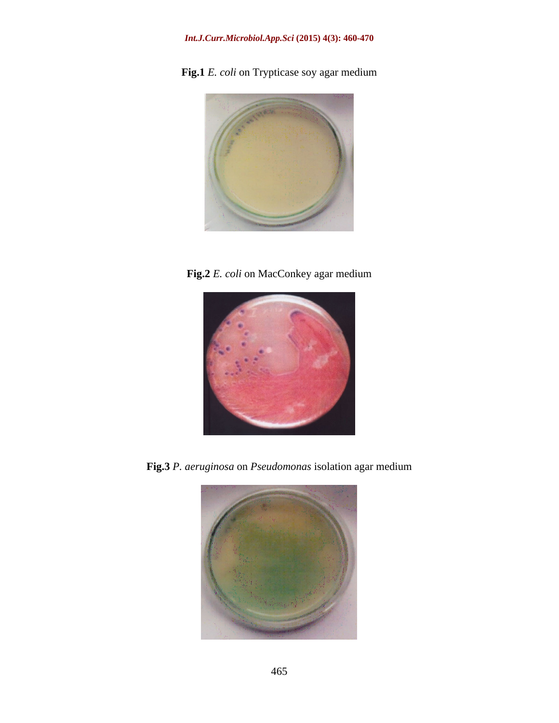## *Int.J.Curr.Microbiol.App.Sci* **(2015) 4(3): 460-470**

**Fig.1** *E. coli* on Trypticase soy agar medium



**Fig.2** *E. coli* on MacConkey agar medium



**Fig.3** *P. aeruginosa* on *Pseudomonas* isolation agar medium

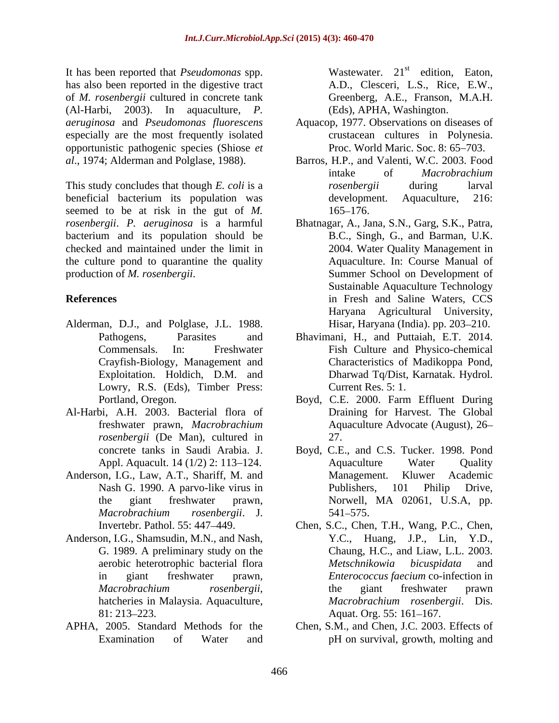It has been reported that *Pseudomonas* spp. has also been reported in the digestive tract of *M. rosenbergii* cultured in concrete tank (Al-Harbi, 2003). In aquaculture, *P.*  especially are the most frequently isolated opportunistic pathogenic species (Shiose *et* 

beneficial bacterium its population was development. Aquaculture, 216: seemed to be at risk in the gut of *M*. 165–176. *rosenbergii*. *P. aeruginosa* is a harmful bacterium and its population should be checked and maintained under the limit in the culture pond to quarantine the quality

- Alderman, D.J., and Polglase, J.L. 1988. Lowry, R.S. (Eds), Timber Press: Current Res. 5: 1.
- Al-Harbi, A.H. 2003. Bacterial flora of *rosenbergii* (De Man), cultured in 27.
- Anderson, I.G., Law, A.T., Shariff, M. and Management. Kluwer Academic
- Anderson, I.G., Shamsudin, M.N., and Nash, 81: 213–223. Aquat. Org. 55: 161–167.
- 

Wastewater.  $21^{st}$  edition, Eaton, A.D., Clesceri, L.S., Rice, E.W., Greenberg, A.E., Franson, M.A.H. (Eds), APHA, Washington.

- *aeruginosa* and *Pseudomonas fluorescens* Aquacop, 1977. Observations on diseases of crustacean cultures in Polynesia. Proc. World Maric. Soc. 8: 65–703.
- *al.*, 1974; Alderman and Polglase, 1988). Barros, H.P., and Valenti, W.C. 2003. Food<br>
intake of *Macrobrachium*<br>
This study concludes that though *E. coli* is a *rosenbergii* during larval Barros, H.P., and Valenti, W.C. 2003. Food intake of *Macrobrachium rosenbergii* during larval development. Aquaculture, 216: 165–176.
- production of *M. rosenbergii*. Summer School on Development of **References** in Fresh and Saline Waters, CCS Bhatnagar, A., Jana, S.N., Garg, S.K., Patra, B.C., Singh, G., and Barman, U.K. 2004. Water Quality Management in Aquaculture. In: Course Manual of Sustainable Aquaculture Technology Haryana Agricultural University, Hisar, Haryana (India). pp. 203–210.
	- Pathogens, Parasites and Bhavimani, H., and Puttaiah, E.T. 2014. Commensals. In: Freshwater Fish Culture and Physico-chemical Crayfish-Biology, Management and Characteristics of Madikoppa Pond, Exploitation. Holdich, D.M. and Dharwad Tq/Dist, Karnatak. Hydrol. Dharwad Tq/Dist, Karnatak. Hydrol. Current Res. 5: 1.
	- Portland, Oregon. Boyd, C.E. 2000. Farm Effluent During freshwater prawn, *Macrobrachium*  Aquaculture Advocate (August), 26 Draining for Harvest. The Global 27.
	- concrete tanks in Saudi Arabia. J. Boyd, C.E., and C.S. Tucker. 1998. Pond<br>Appl. Aquacult. 14 (1/2) 2: 113–124. Aquaculture Water Quality Nash G. 1990. A parvo-like virus in Publishers, 101 Philip Drive, the giant freshwater prawn, Morwell, MA 02061, U.S.A, pp. *Macrobrachium rosenbergii*. J. Boyd, C.E., and C.S. Tucker. 1998. Pond Aquaculture Water Quality Management. Kluwer Academic Publishers, 101 Philip Drive, 541–575.
	- Invertebr. Pathol. 55: 447 449. Chen, S.C., Chen, T.H., Wang, P.C., Chen, G. 1989. A preliminary study on the Chaung, H.C., and Liaw, L.L. 2003. aerobic heterotrophic bacterial flora Metschnikowia bicuspidata and in giant freshwater prawn, *Enterococcus faecium*-co-infection-in<br>*Macrobrachium rosenbergii*, the giant freshwater prawn<br>hatcheries in Malaysia. Aquaculture, *Macrobrachium rosenbergii*. Dis. Y.C., Huang, J.P., Lin, Y.D., *Metschnikowia bicuspidata* and *Enterococcus faecium* co-infection in the giant freshwater prawn *Macrobrachium rosenbergii*. Dis. Aquat. Org. 55: 161–167.
- APHA, 2005. Standard Methods for the Chen, S.M., and Chen, J.C. 2003. Effects of Examination of Water and pH on survival, growth, molting and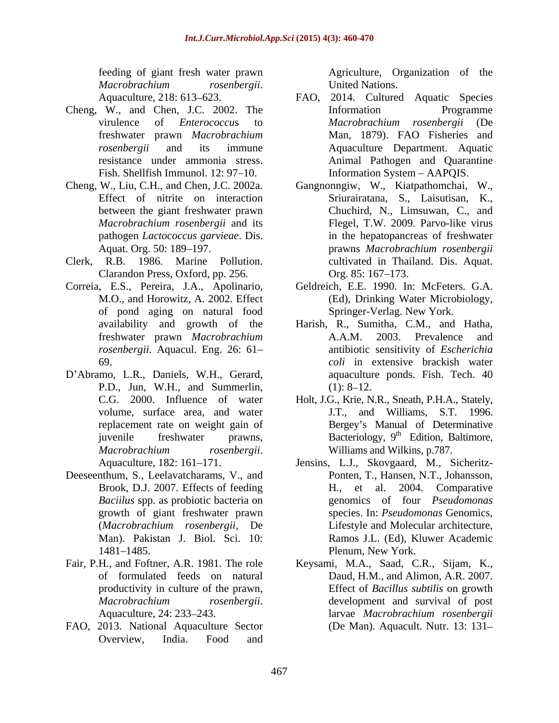*Macrobrachium rosenbergii*. Aquaculture, 218: 613 623.

- Cheng, W., and Chen, J.C. 2002. The Fish. Shellfish Immunol. 12: 97–10.
- 
- Clerk, R.B. 1986. Marine Pollution. Clarandon Press, Oxford, pp. 256.
- Correia, E.S., Pereira, J.A., Apolinario, of pond aging on natural food
- D'Abramo, L.R., Daniels, W.H., Gerard, P.D., Jun, W.H., and Summerlin, *Macrobrachium rosenbergii.* Williams and Wilkins, p.787.<br>Aquaculture, 182: 161–171. **Insins, L.J., Skovgaard, M., Sicheritz**-
- Deeseenthum, S., Leelavatcharams, V., and Brook, D.J. 2007. Effects of feeding *Baciilus* spp. as probiotic bacteria on
- of formulated feeds on natural productivity in culture of the prawn,
- FAO, 2013. National Aquaculture Sector Overview, India. Food and

feeding of giant fresh water prawn Agriculture, Organization of the United Nations.

- virulence of *Enterococcu*s to freshwater prawn *Macrobrachium*  Man, 1879). FAO Fisheries and *rosenbergii* and its immune Aquaculture Department. Aquatic resistance under ammonia stress. Animal Pathogen and Quarantine FAO, 2014. Cultured Aquatic Species Information Programme *Macrobrachium rosenbergii* (De Information System AAPQIS.
- Cheng, W., Liu, C.H., and Chen, J.C. 2002a. Gangnonngiw, W., Kiatpathomchai, W., Effect of nitrite on interaction Sriurairatana, S., Laisutisan, K., between the giant freshwater prawn Chuchird, N., Limsuwan, C., and *Macrobrachium rosenbergii* and its pathogen *Lactococcus garvieae*. Dis. in the hepatopancreas of freshwater Aquat. Org. 50: 189–197. The prawns Macrobrachium rosenbergii Flegel, T.W. 2009. Parvo-like virus prawns *Macrobrachium rosenbergii* cultivated in Thailand. Dis. Aquat. Org. 85: 167–173.
	- M.O., and Horowitz, A. 2002. Effect (Ed), Drinking Water Microbiology, Geldreich, E.E. 1990. In: McFeters. G.A. Springer-Verlag. New York.
	- availability and growth of the Harish, R., Sumitha, C.M., and Hatha, freshwater prawn *Macrobrachium rosenbergii*. Aquacul. Eng. 26: 61 antibiotic sensitivity of *Escherichia*  69. *coli* in extensive brackish water A.A.M. 2003. Prevalence and aquaculture ponds. Fish. Tech. 40  $(1): 8-12.$
	- C.G. 2000. Influence of water Holt, J.G., Krie, N.R., Sneath, P.H.A., Stately, volume, surface area, and water J.T., and Williams, S.T. 1996. replacement rate on weight gain of **Bergey's Manual of Determinative** juvenile freshwater prawns, Bacteriology, 9<sup>th</sup> Edition, Baltimore, th Edition, Baltimore, Williams and Wilkins, p.787.
	- growth of giant freshwater prawn species. In: *Pseudomonas* Genomics, (*Macrobrachium rosenbergii,* De Lifestyle and Molecular architecture, Man). Pakistan J. Biol. Sci. 10: Ramos J.L. (Ed), Kluwer Academic 1481–1485. **Plenum, New York.** Jensins, L.J., Skovgaard, M., Sicheritz- Ponten, T., Hansen, N.T., Johansson, H., et al. 2004. Comparative genomics of four *Pseudomonas* Plenum, New York.
- Fair, P.H., and Foftner, A.R. 1981. The role Keysami, M.A., Saad, C.R., Sijam, K., *Macrobrachium rosenbergii.* development and survival of post<br>Aquaculture, 24: 233–243. larvae *Macrobrachium rosenbergii* Daud, H.M., and Alimon, A.R. 2007. Effect of *Bacillus subtilis* on growth development and survival of post larvae *Macrobrachium rosenbergii* (De Man). Aquacult. Nutr. 13: 131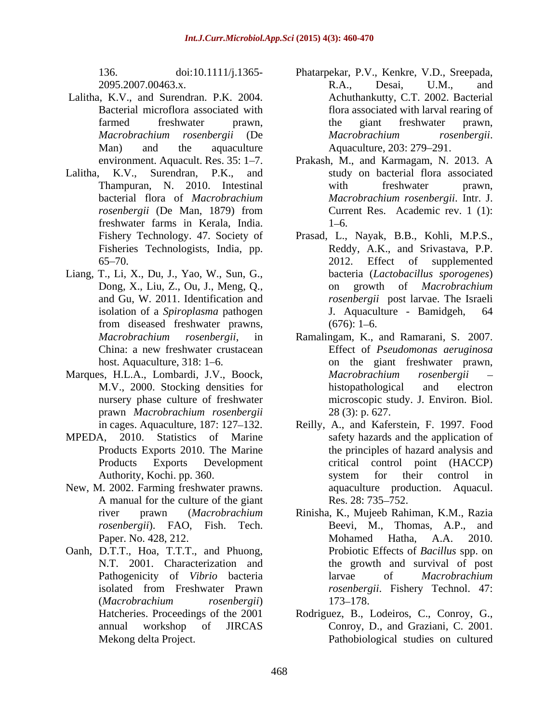- Lalitha, K.V., and Surendran. P.K. 2004. Bacterial microflora associated with Man) and the aquaculture Aquaculture, 203: 279–291.
- freshwater farms in Kerala, India. Fisheries Technologists, India, pp.
- Liang, T., Li, X., Du, J., Yao, W., Sun, G., Dong, X., Liu, Z., Ou, J., Meng, Q.,
- Marques, H.L.A., Lombardi, J.V., Boock,
- 
- New, M. 2002. Farming freshwater prawns. a aquaculture prod<br>A manual for the culture of the giant Res. 28: 735–752. A manual for the culture of the giant *rosenbergii*). FAO, Fish. Tech.
- Oanh, D.T.T., Hoa, T.T.T., and Phuong, isolated from Freshwater Prawn (*Macrobrachium rosenbergii*)
- 136. doi:10.1111/j.1365- Phatarpekar, P.V., Kenkre,V.D., Sreepada, 2095.2007.00463.x. R.A., Desai, U.M., and farmed freshwater prawn, the giant freshwater prawn, *Macrobrachium rosenbergii* (De R.A., Desai, U.M., and Achuthankutty, C.T. 2002. Bacterial flora associated with larval rearing of the giant freshwater prawn, *Macrobrachium rosenbergii*. Aquaculture, 203: 279 291.
- environment. Aquacult. Res. 35: 1–7. Prakash, M., and Karmagam, N. 2013. A Lalitha, K.V., Surendran, P.K., and study on bacterial flora associated Thampuran, N. 2010. Intestinal with freshwater prawn, bacterial flora of *Macrobrachium Macrobrachium rosenbergii*. Intr. J. *rosenbergii* (De Man, 1879) from with freshwater prawn, Current Res. Academic rev. 1 (1):  $1 - 6.$ 
	- Fishery Technology. 47. Society of Prasad, L., Nayak, B.B., Kohli, M.P.S., 65–70. 2012. Effect of supplemented and Gu, W. 2011. Identification and *rosenbergii* post larvae. The Israeli isolation of a *Spiroplasma* pathogen from diseased freshwater prawns,  $(676): 1-6$ . Reddy, A.K., and Srivastava, P.P. 2012. Effect of supplemented bacteria (*Lactobacillus sporogenes*) growth of *Macrobrachium* J. Aquaculture - Bamidgeh,  $(676): 1 - 6.$
	- *Macrobrachium rosenbergii*, in Ramalingam, K., and Ramarani, S. 2007. China: a new freshwater crustacean Effect of *Pseudomonas aeruginosa* host. Aquaculture, 318: 1–6. The simulation on the giant freshwater prawn, M.V., 2000. Stocking densities for nursery phase culture of freshwater microscopic study. J. Environ. Biol. prawn *Macrobrachium rosenbergii Macrobrachium rosenbergii* histopathological and electron 28 (3): p. 627.
- in cages. Aquaculture, 187: 127 132. Reilly, A., and Kaferstein, F. 1997. Food MPEDA, 2010. Statistics of Marine safety hazards and the application of Products Exports 2010. The Marine the principles of hazard analysis and Products Exports Development critical control point (HACCP) Authority, Kochi. pp. 360. system for their control in critical control point (HACCP) system for their control in aquaculture production. Aquacul. Res. 28: 735–752.
	- river prawn (*Macrobrachium*  Rinisha, K., Mujeeb Rahiman, K.M., Razia Paper. No. 428, 212. Mohamed Hatha, A.A. 2010. N.T. 2001. Characterization and the growth and survival of post Pathogenicity of *Vibrio* bacteria **and in** larvae of *Macrobrachium* Beevi, M., Thomas, A.P., and Mohamed Hatha, A.A. 2010. Probiotic Effects of *Bacillus* spp. on larvae of *Macrobrachium rosenbergii*. Fishery Technol. 47: 173–178.
	- Hatcheries. Proceedings of the 2001 Rodriguez, B., Lodeiros, C., Conroy, G., annual workshop of JIRCAS Conroy, D., and Graziani, C. 2001. Mekong delta Project. Pathobiological studies on cultured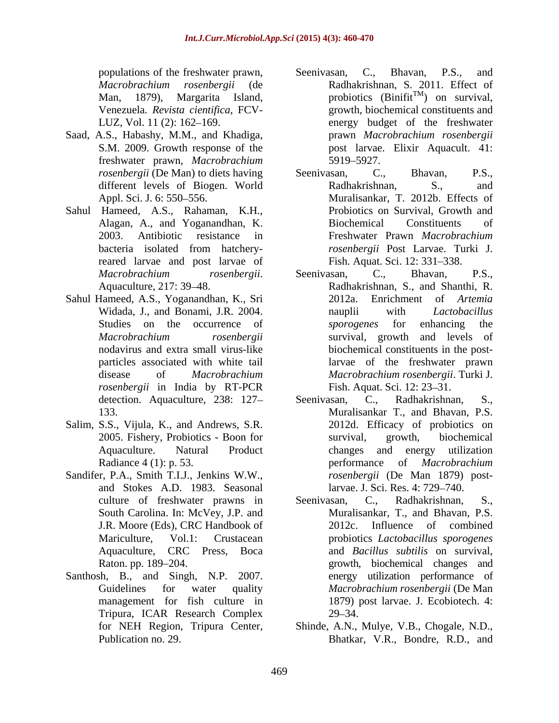- freshwater prawn, *Macrobrachium*
- Sahul Hameed, A.S., Rahaman, K.H., reared larvae and post larvae of
- Sahul Hameed, A.S., Yoganandhan, K., Sri *rosenbergii* in India by RT-PCR
- Salim, S.S., Vijula, K., and Andrews, S.R.
- Sandifer, P.A., Smith T.I.J., Jenkins W.W., and Stokes A.D. 1983. Seasonal
- Santhosh, B., and Singh, N.P. 2007. Tripura, ICAR Research Complex
- populations of the freshwater prawn, Seenivasan, C., Bhavan, P.S., and *Macrobrachium rosenbergii* (de Man, 1879), Margarita Island,  $\mu$  probiotics (Binifit<sup>TM</sup>) on survival, Venezuela*. Revista cientifica*, FCV- growth, biochemical constituents and LUZ, Vol. 11 (2): 162–169. The energy budget of the freshwater Saad, A.S., Habashy, M.M., and Khadiga,  $\qquad \qquad$  prawn *Macrobrachium rosenbergii* S.M. 2009. Growth response of the post larvae. Elixir Aquacult. 41: Seenivasan, C., Bhavan, P.S., and Radhakrishnan, S. 2011. Effect of prawn *Macrobrachium rosenbergii* 5919 5927.
	- *rosenbergii* (De Man) to diets having Seenivasan, C., Bhavan, P.S., different levels of Biogen. World Radhakrishnan, S., and Appl. Sci. J. 6: 550 556. Muralisankar, T. 2012b. Effects of Alagan, A., and Yoganandhan, K. 2003. Antibiotic resistance in Freshwater Prawn *Macrobrachium*  bacteria isolated from hatchery-<br>
	rosenbergii Post Larvae. Turki J. Seenivasan, C., Bhavan, P.S.,<br>Radhakrishnan, S., and Probiotics on Survival, Growth and Biochemical Constituents of *rosenbergii* Post Larvae. Turki J. Fish. Aquat. Sci. 12: 331-338.
	- *Macrobrachium rosenbergii*. Seenivasan, C., Bhavan, P.S., Aquaculture, 217: 39–48. <br>Aquaculture, 217: 39–48. **Radhakrishnan, S., and Shanthi, R.** Widada, J., and Bonami, J.R. 2004. hauplii with Lactobacillus Studies on the occurrence of *sporogenes* for enhancing the *Macrobrachium rosenbergii* survival, growth and levels of nodavirus and extra small virus-like biochemical constituents in the postparticles associated with white tail larvae of the freshwater prawn disease of *Macrobrachium Macrobrachium rosenbergii*. Turki J. Seenivasan, C., Bhavan, P.S., Radhakrishnan, S., and Shanthi, R. Enrichment of *Artemia* nauplii with *Lactobacillus sporogenes* for enhancing the Fish. Aquat. Sci. 12: 23–31.
	- detection. Aquaculture, 238: 127-<br>Seenivasan, C., Radhakrishnan, S., 133. Muralisankar T., and Bhavan, P.S. 2005. Fishery, Probiotics - Boon for Aquaculture. Natural Product changes and energy utilization Radiance 4 (1): p. 53. errormance of *Macrobrachium* Seenivasan, C., Radhakrishnan, S., 2012d. Efficacy of probiotics on survival, growth, biochemical performance of *Macrobrachium rosenbergii* (De Man 1879) postlarvae. J. Sci. Res. 4: 729–740.
	- culture of freshwater prawns in Seenivasan, C., Radhakrishnan, S., South Carolina. In: McVey, J.P. and Muralisankar, T., and Bhavan, P.S. J.R. Moore (Eds), CRC Handbook of Mariculture, Vol.1: Crustacean probiotics *Lactobacillus sporogenes* Aquaculture, CRC Press, Boca and *Bacillus subtilis* on survival, Raton. pp. 189–204. The extension of the second series are provided as a series and series and series and series and Guidelines for water quality *Macrobrachium rosenbergii* (De Man management for fish culture in 1879) post larvae. J. Ecobiotech. 4: Seenivasan, C., Radhakrishnan, S., 2012c. Influence of combined energy utilization performance of  $29 - 34.$
	- for NEH Region, Tripura Center, Shinde, A.N., Mulye, V.B., Chogale, N.D., Publication no. 29. Bhatkar, V.R., Bondre, R.D., and